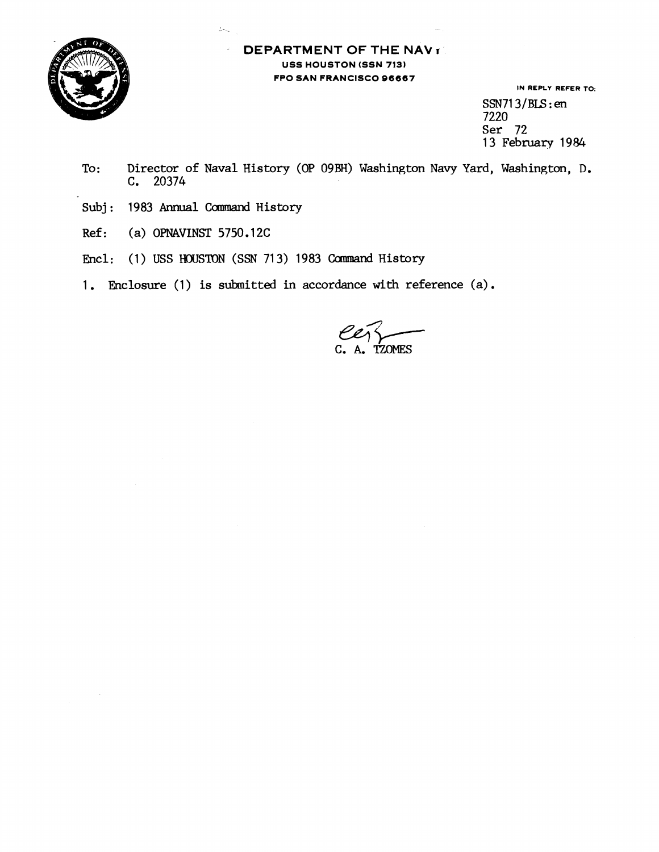

## **DEPARTMENT OF THE NAV <b>r USS HOUSTON (SSN 7131 FPO SAN FRANCISCO 96667**

**IN REPLY REFER TO:**   $SSN713/BLS$ : en 7220 Ser 72 13 February 1984

- To: Director of Naval History (OP 09BH) Washington Navy Yard, Washington, D. C. 20374
- Subj: 1983 Annual Command History

 $2\pi\omega$ 

- Ref: (a) OPNAVINST 5750.12C
- Encil: (1) USS **HOUSTON** (SSN 713) 1983 Camnand History
- 1. Enclosure (1) is submitted in accordance with reference (a).

TZOMES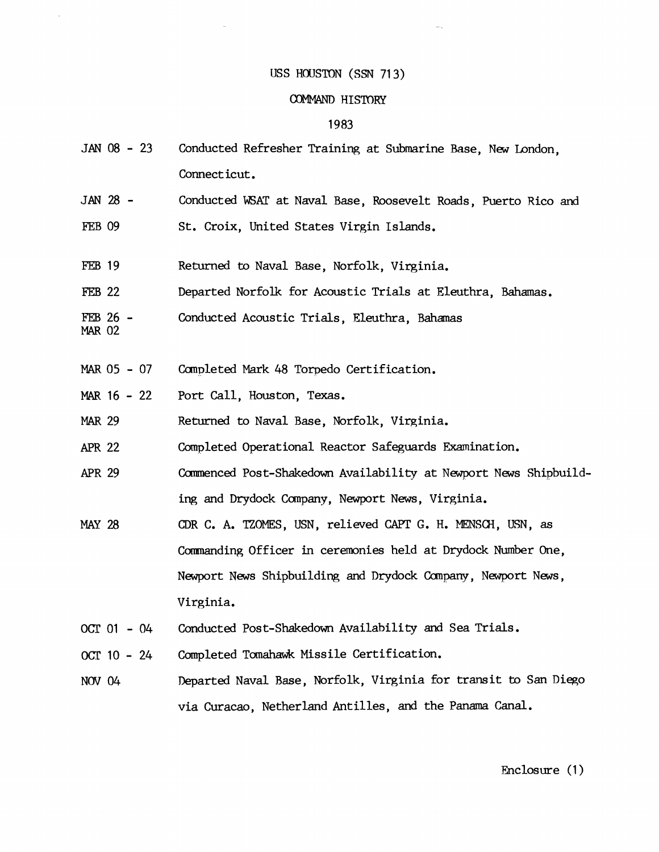## IJSS HOUSTON **(SSN** 71 3)

## COMMAND HISTORY

## 1983

- $JAN$  08 23 Conducted Refresher Training at Submarine Base, New London, Connecticut.
- **JAN 28**  FEB 09 Conducted WSAT at Naval Base, Roosevelt Roads, Puerto Rico and St. Croix, United States Virgin Islands.
- **FEB 19** Returned to Naval Base, Norfolk, Virginia.
- **FEB** 22 Departed Norfolk for Acoustic Trials at Eleuthra, Bahamas.
- FEB 26 **MAR** 02 Conducted Acoustic Trials, Eleuthra, Bahamas
- **NAR** 05 07 Canpleted Mark 48 Torpedo Certification.
- **MAR.** 16 22 Port Call, Houston, Texas.
- **MAR** 29 Returned to Naval Base, Norfolk, Virginia.
- **Am** <sup>22</sup> Completed Operational Reactor Safeguards Examination.
- **APR** 29 Ccmmenced Post-Shakedown Availability at Newport News Shipbuilding and Drydock Company, Newport News, Virginia.
- CDR C. A. TZOMES, USN, relieved CAPT G. H. MENSCH, USN, as **MAY 28** Commanding Officer in ceremonies held at Drydock Number One, Newport News Shipbuilding and Drydock Company, Newport News, Virginia.
- OCT  $01 04$ Conducted Post-Shakedown Availability and Sea Trials.
- OCT 10 24 Completed Tomahawk Missile Certification.
- Departed Naval Base, Norfolk, Virginia for transit to San Diego NOV 04 via Curacao, Netherland Antilles, and the Panama Canal.

Enclosure (1)